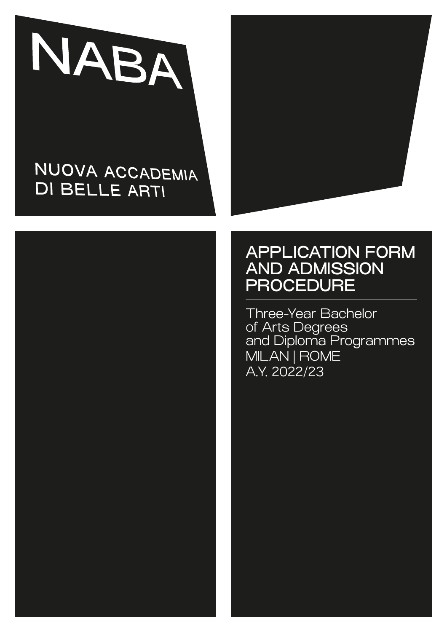

# NUOVA ACCADEMIA **DI BELLE ARTI**





# APPLICATION FORM AND ADMISSION **PROCEDURE**

Three-Year Bachelor of Arts Degrees and Diploma Programmes MILAN | ROME A.Y. 2022/23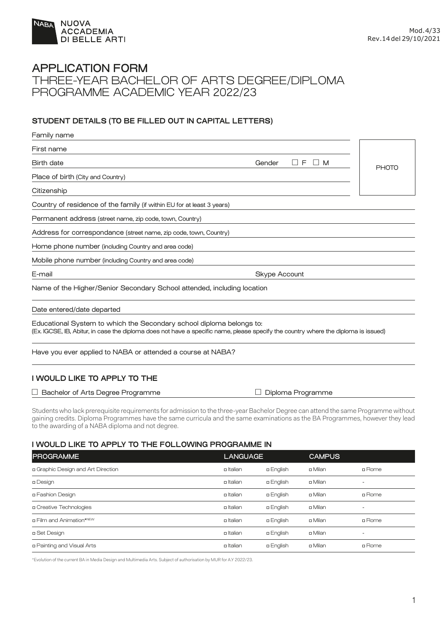

### APPLICATION FORM THREE-YEAR BACHELOR OF ARTS DEGREE/DIPLOMA PROGRAMME ACADEMIC YEAR 2022/23

#### **STUDENT DETAILS (TO BE FILLED OUT IN CAPITAL LETTERS)**

| Family name                                                                                                                                                                                                |                                |              |  |
|------------------------------------------------------------------------------------------------------------------------------------------------------------------------------------------------------------|--------------------------------|--------------|--|
| First name                                                                                                                                                                                                 |                                |              |  |
| <b>Birth date</b>                                                                                                                                                                                          | $\Box$ F<br>Gender<br>$\Box$ M | <b>PHOTO</b> |  |
| Place of birth (City and Country)                                                                                                                                                                          |                                |              |  |
| Citizenship                                                                                                                                                                                                |                                |              |  |
| Country of residence of the family (if within EU for at least 3 years)                                                                                                                                     |                                |              |  |
| Permanent address (street name, zip code, town, Country)                                                                                                                                                   |                                |              |  |
| Address for correspondance (street name, zip code, town, Country)                                                                                                                                          |                                |              |  |
| Home phone number (including Country and area code)                                                                                                                                                        |                                |              |  |
| Mobile phone number (including Country and area code)                                                                                                                                                      |                                |              |  |
| E-mail<br>Skype Account                                                                                                                                                                                    |                                |              |  |
| Name of the Higher/Senior Secondary School attended, including location                                                                                                                                    |                                |              |  |
| Date entered/date departed                                                                                                                                                                                 |                                |              |  |
| Educational System to which the Secondary school diploma belongs to:<br>(Ex. IGCSE, IB, Abitur, in case the diploma does not have a specific name, please specify the country where the diploma is issued) |                                |              |  |
| Have you ever applied to NABA or attended a course at NABA?                                                                                                                                                |                                |              |  |
| I WOULD LIKE TO APPLY TO THE                                                                                                                                                                               |                                |              |  |
| $\Box$ Bachelor of Arts Degree Programme                                                                                                                                                                   | Diploma Programme              |              |  |

Students who lack prerequisite requirements for admission to the three-year Bachelor Degree can attend the same Programme without gaining credits. Diploma Programmes have the same curricula and the same examinations as the BA Programmes, however they lead to the awarding of a NABA diploma and not degree.

#### **I WOULD LIKE TO APPLY TO THE FOLLOWING PROGRAMME IN**

| <b>PROGRAMME</b>                   | <b>LANGUAGE</b> |                  | <b>CAMPUS</b> |                          |
|------------------------------------|-----------------|------------------|---------------|--------------------------|
| a Graphic Design and Art Direction | a Italian       | <b>a English</b> | ם Milan       | <b>¤</b> Rome            |
| n Design                           | a Italian       | a English        | ם Milan       | $\overline{\phantom{a}}$ |
| n Fashion Design                   | a Italian       | <b>a</b> English | ם Milan       | <b>¤</b> Rome            |
| n Creative Technologies            | a Italian       | <b>a English</b> | ם Milan       | $\overline{\phantom{a}}$ |
| <b>p</b> Film and Animation*NEW    | □ Italian       | <b>a</b> English | ם Milan       | <b>¤</b> Rome            |
| □ Set Design                       | a Italian       | a English        | ם Milan       | $\overline{\phantom{a}}$ |
| n Painting and Visual Arts         | a Italian       | <b>a English</b> | ם Milan       | <b>¤</b> Rome            |

\*Evolution of the current BA in Media Design and Multimedia Arts. Subject of authorisation by MUR for A.Y 2022/23.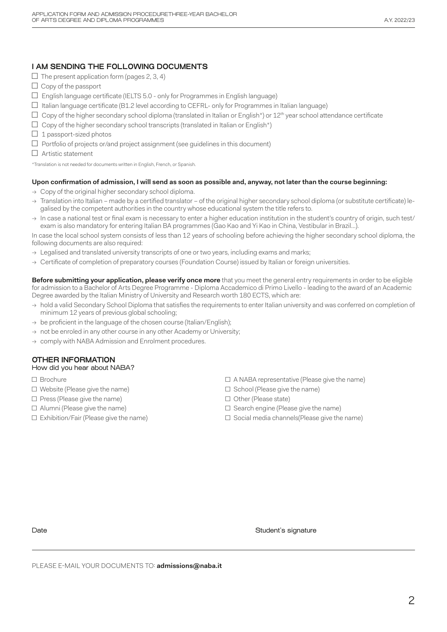### **I AM SENDING THE FOLLOWING DOCUMENTS**

- $\square$  The present application form (pages 2, 3, 4)
- $\Box$  Copy of the passport
- $\Box$  English language certificate (IELTS 5.0 only for Programmes in English language)
- $\Box$  Italian language certificate (B1.2 level according to CEFRL- only for Programmes in Italian language)
- $\Box$  Copy of the higher secondary school diploma (translated in Italian or English\*) or 12<sup>th</sup> year school attendance certificate
- $\Box$  Copy of the higher secondary school transcripts (translated in Italian or English\*)
- $\Box$  1 passport-sized photos
- □ Portfolio of projects or/and project assignment (see guidelines in this document)

□ Artistic statement

\*Translation is not needed for documents written in English, French, or Spanish.

#### **Upon confirmation of admission, I will send as soon as possible and, anyway, not later than the course beginning:**

- $\rightarrow$  Copy of the original higher secondary school diploma.
- → Translation into Italian made by a certified translator of the original higher secondary school diploma (or substitute certificate) legalised by the competent authorities in the country whose educational system the title refers to.
- $\rightarrow$  In case a national test or final exam is necessary to enter a higher education institution in the student's country of origin, such test/ exam is also mandatory for entering Italian BA programmes (Gao Kao and Yi Kao in China, Vestibular in Brazil…).

In case the local school system consists of less than 12 years of schooling before achieving the higher secondary school diploma, the following documents are also required:

- $\rightarrow$  Legalised and translated university transcripts of one or two years, including exams and marks;
- → Certificate of completion of preparatory courses (Foundation Course) issued by Italian or foreign universities.

**Before submitting your application, please verify once more** that you meet the general entry requirements in order to be eligible for admission to a Bachelor of Arts Degree Programme - Diploma Accademico di Primo Livello - leading to the award of an Academic Degree awarded by the Italian Ministry of University and Research worth 180 ECTS, which are:

- → hold a valid Secondary School Diploma that satisfies the requirements to enter Italian university and was conferred on completion of minimum 12 years of previous global schooling;
- $\rightarrow$  be proficient in the language of the chosen course (Italian/English);
- $\rightarrow$  not be enroled in any other course in any other Academy or University;
- → comply with NABA Admission and Enrolment procedures.

### **OTHER INFORMATION**

#### How did you hear about NABA?

- □ Brochure
- □ Website (Please give the name)
- $\square$  Press (Please give the name)
- $\square$  Alumni (Please give the name)
- □ Exhibition/Fair (Please give the name)
- $\square$  A NABA representative (Please give the name)
- □ School (Please give the name)
- □ Other (Please state)
- □ Search engine (Please give the name)
- □ Social media channels(Please give the name)

Date Student's signature  $\Box$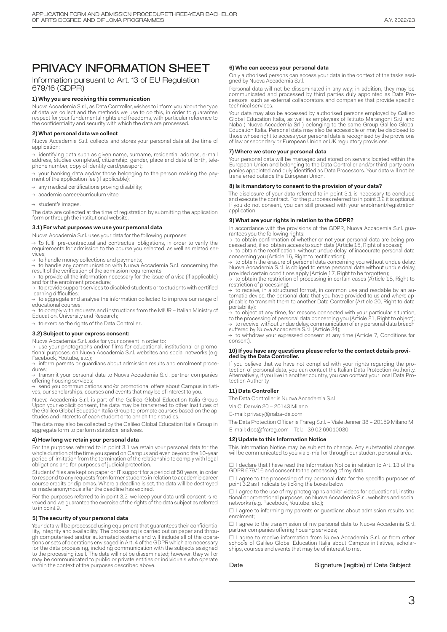### PRIVACY INFORMATION SHEET

#### Information pursuant to Art. 13 of EU Regulation 679/16 (GDPR)

#### **1) Why you are receiving this communication**

Nuova Accademia S.r.l., as Data Controller, wishes to inform you about the type of data we collect and the methods we use to do this, in order to guarantee respect for your fundamental rights and freedoms, with particular reference to the confidentiality and security with which the data are processed.

#### **2) What personal data we collect**

Nuova Accademia S.r.l. collects and stores your personal data at the time of application:

→ identifying data such as given name, surname, residential address, e-mail<br>address, studies completed, citizenship, gender, place and date of birth, tele-<br>phone number, copy of identity card/passport;

your banking data and/or those belonging to the person making the payment of the application fee (if applicable);

 $\rightarrow$  any medical certifications proving disability;

→ academic career/curriculum vitae;

 $\rightarrow$  student's images.

The data are collected at the time of registration by submitting the application form or through the institutional website.

#### **3.1) For what purposes we use your personal data**

Nuova Accademia S.r.l. uses your data for the following purposes:

 $\rightarrow$  to fulfil pre-contractual and contractual obligations, in order to verify the requirements for admission to the course you selected, as well as related ser- vices;

→ to handle money collections and payments;<br>→ to handle any communication with Nuova Accademia S.r.l. concerning the<br>result of the verification of the admission requirements;<br>→ to provide all the information necessary for

and for the enrolment procedure; → to provide support services to disabled students or to students with certified learning difficulties;

to aggregate and analyse the information collected to improve our range of educational courses;

to comply with requests and instructions from the MIUR – Italian Ministry of Education, University and Research;

 $\rightarrow$  to exercise the rights of the Data Controller.

#### **3.2) Subject to your express consent:**

Nuova Accademia S.r.l. asks for your consent in order to:<br>→ use your photographs and/or films for educational, institutional or promo-<br>tional purposes, on Nuova Accademia S.r.l. websites and social networks (e.g. Facebook, Youtube, etc.);

→ inform parents or guardians about admission results and enrolment proce-<br>dures;

++++,<br>transmit your personal data to Nuova Accademia S.r.l. partner companies offering housing services;

<sup>→</sup> send you communications and/or promotional offers about Campus initiati- ves, our scholarships, courses and events that may be of interest to you.

Nuova Accademia S.r.l. is part of the Galileo Global Education Italia Group. Upon your explicit consent, the data may be transferred to other Institutes of the Galileo Global Education Italia Group to promote courses based on the aptitudes and interests of each student or to enrich their studies.

The data may also be collected by the Galileo Global Education Italia Group in aggregate form to perform statistical analyses.

#### **4) How long we retain your personal data**

For the purposes referred to in point 3.1 we retain your personal data for the<br>whole duration of the time you spend on Campus and even beyond the 10-year<br>period of limitation from the termination of the relationship to com obligations and for purposes of judicial protection.

Students' files are kept on paper or IT support for a period of 50 years, in order to respond to any requests from former students in relation to academic career, course credits or diplomas. Where a deadline is set, the data will be destroyed or made anonymous after the deadline has expired.

For the purposes referred to in point 3.2, we keep your data until consent is re- voked and we guarantee the exercise of the rights of the data subject as referred to in point 9.

#### **5) The security of your personal data**

Your data will be processed using equipment that guarantees their confidentiality, integrity and availability. The processing is carried out on paper and through computerised and/or automated systems and will include all of the operations or sets of operations envisaged in Art. 4 of the GDPR which may be communicated to public or private entities or individuals who operate within the context of the purposes described above.

#### **6) Who can access your personal data**

Only authorised persons can access your data in the context of the tasks assi- gned by Nuova Accademia S.r.l.

Personal data will not be disseminated in any way; in addition, they may be communicated and processed by third parties duly appointed as Data Pro- cessors, such as external collaborators and companies that provide specific technical services.

Your data may also be accessed by authorised persons employed by Galileo<br>Global Education Italia, as well as employees of Istituto Marangoni S.r.l. and<br>Naba ( Nuova Accademia Srl ) belonging to the same Group Galileo Globa those whose right to access your personal data is recognised by the provisions of law or secondary or European Union or UK regulatory provisions.

#### **7) Where we store your personal data**

Your personal data will be managed and stored on servers located within the<br>European Union and belonging to the Data Controller and/or third-party com-<br>panies appointed and duly identified as Data Processors. Your data wil transferred outside the European Union.

#### **8) Is it mandatory to consent to the provision of your data?**

The disclosure of your data referred to in point 3.1 is necessary to conclude and execute the contract. For the purposes referred to in point 3.2 it is optional. If you do not consent, you can still proceed with your enrolment/registration application.

#### **9) What are your rights in relation to the GDPR?**

In accordance with the provisions of the GDPR, Nuova Accademia S.r.l. guarantees you the following rights:

 $\rightarrow$  to obtain confirmation of whether or not your personal data are being processed and, if so, obtain access to such data (Article 15, Right of access);<br> $\rightarrow$  to obtain the rectification, without undue delay, of inaccura

concerning you (Article 16, Right to rectification);<br>→ to obtain the erasure of personal data concerning you without undue delay,<br>Nuova Accademia S.r.l. is obliged to erase personal data without undue delay,<br>provided cert

 $\rightarrow$  to obtain the restriction of processing in certain cases (Article 18, Right to restriction of processing);

sources to receive, in a structured format, in common use and readable by an automatic device, the personal data that you have provided to us and where applicable to transmit them to another Data Controller (Article 20, Ri portability);

 $\rightarrow$  to object at any time, for reasons connected with your particular situation,<br>to the processing of personal data concerning you (Article 21, Right to object);

→ to receive, without undue delay, communication of any personal data breach suffered by Nuova Accademia S.r.l. (Article 34); → to withdraw your expressed consent at any time (Article 7, Conditions for consent).

### **10) If you have any questions please refer to the contact details provi-ded by the Data Controller.**

If you believe that we have not complied with your rights regarding the protection of personal data, you can contact the Italian Data Protection Authority. Alternatively, if you live in another country, you can contact your local Data Pro-tection Authority.

#### **11) Data Controller**

The Data Controller is Nuova Accademia S.r.l.

Via C. Darwin 20 – 20143 Milano

E-mail: privacy@naba-da.com

The Data Protection Officer is Frareg S.r.l. – Viale Jenner 38 – 20159 Milano MI E-mail: dpo@frareg.com – Tel.: +39 02 69010030

#### **12) Update to this Information Notice**

This Information Notice may be subject to change. Any substantial changes will be communicated to you via e-mail or through our student personal area.

□ I declare that I have read the Information Notice in relation to Art. 13 of the GDPR 679/16 and consent to the processing of my data.

□ I agree to the processing of my personal data for the specific purposes of point 3.2 as I indicate by ticking the boxes below:

 $\square$  I agree to the use of my photographs and/or videos for educational, institutional or promotional purposes, on Nuova Accademia S.r.l. websites and social networks (e.g. Facebook, Youtube, etc.);

□ I agree to informing my parents or guardians about admission results and enrolment;

□ I agree to the transmission of my personal data to Nuova Accademia S.r.l. partner companies offering housing services;

□ I agree to receive information from Nuova Accademia S.r.l. or from other schools of Galileo Global Education Italia about Campus initiatives, scholar- ships, courses and events that may be of interest to me.

#### Date Signature (legible) of Data Subject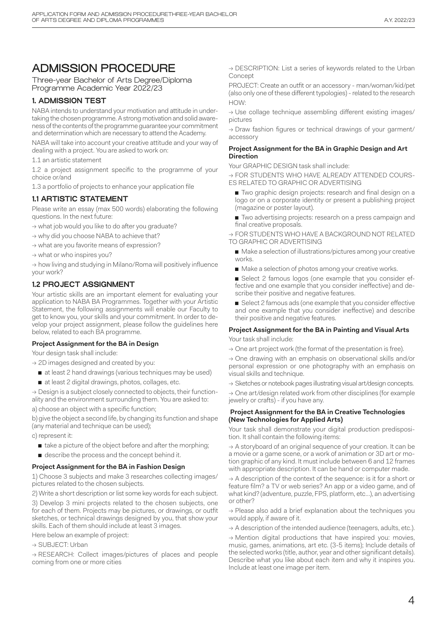## ADMISSION PROCEDURE

Three-year Bachelor of Arts Degree/Diploma Programme Academic Year 2022/23

#### **1. ADMISSION TEST**

NABA intends to understand your motivation and attitude in undertaking the chosen programme. A strong motivation and solid awareness of the contents of the programme guarantee your commitment and determination which are necessary to attend the Academy.

NABA will take into account your creative attitude and your way of dealing with a project. You are asked to work on:

1.1 an artistic statement

1.2 a project assignment specific to the programme of your choice or/and

1.3 a portfolio of projects to enhance your application file

#### **1.1 ARTISTIC STATEMENT**

Please write an essay (max 500 words) elaborating the following questions. In the next future:

→ what job would you like to do after you graduate?

→ why did you choose NABA to achieve that?

→ what are you favorite means of expression?

 $\rightarrow$  what or who inspires you?

 $\rightarrow$  how living and studying in Milano/Roma will positively influence your work?

#### **1.2 PROJECT ASSIGNMENT**

Your artistic skills are an important element for evaluating your application to NABA BA Programmes. Together with your Artistic Statement, the following assignments will enable our Faculty to get to know you, your skills and your commitment. In order to develop your project assignment, please follow the guidelines here below, related to each BA programme.

#### **Project Assignment for the BA in Design**

Your design task shall include:

- → 2D images designed and created by you:
	- at least 2 hand drawings (various techniques may be used)
	- at least 2 digital drawings, photos, collages, etc.

 $\rightarrow$  Design is a subject closely connected to objects, their functionality and the environment surrounding them. You are asked to:

a) choose an object with a specific function;

b) give the object a second life, by changing its function and shape (any material and technique can be used);

c) represent it:

- take a picture of the object before and after the morphing;
- describe the process and the concept behind it.

**Project Assignment for the BA in Fashion Design**

1) Choose 3 subjects and make 3 researches collecting images/ pictures related to the chosen subjects.

2) Write a short description or list some key words for each subject.

3) Develop 3 mini projects related to the chosen subjects, one for each of them. Projects may be pictures, or drawings, or outfit sketches, or technical drawings designed by you, that show your skills. Each of them should include at least 3 images.

Here below an example of project:

→ SUBJECT: Urban

→ RESEARCH: Collect images/pictures of places and people coming from one or more cities

→ DESCRIPTION: List a series of keywords related to the Urban Concept

PROJECT: Create an outfit or an accessory - man/woman/kid/pet (also only one of these different typologies) - related to the research HOW:

→ Use collage technique assembling different existing images/ pictures

→ Draw fashion figures or technical drawings of your garment/ accessory

#### **Project Assignment for the BA in Graphic Design and Art Direction**

Your GRAPHIC DESIGN task shall include:

→ FOR STUDENTS WHO HAVE ALREADY ATTENDED COURS-ES RELATED TO GRAPHIC OR ADVERTISING

- Two graphic design projects: research and final design on a logo or on a corporate identity or present a publishing project (magazine or poster layout).
- Two advertising projects: research on a press campaign and final creative proposals.

→ FOR STUDENTS WHO HAVE A BACKGROUND NOT RELATED TO GRAPHIC OR ADVERTISING

- Make a selection of illustrations/pictures among your creative works.
- Make a selection of photos among your creative works.
- Select 2 famous logos (one example that you consider effective and one example that you consider ineffective) and describe their positive and negative features.
- Select 2 famous ads (one example that you consider effective and one example that you consider ineffective) and describe their positive and negative features.

### **Project Assignment for the BA in Painting and Visual Arts**

Your task shall include:

 $\rightarrow$  One art project work (the format of the presentation is free).

→ One drawing with an emphasis on observational skills and/or personal expression or one photography with an emphasis on visual skills and technique.

→ Sketches or notebook pages illustrating visual art/design concepts.

 $\rightarrow$  One art/design related work from other disciplines (for example jewelry or crafts) - if you have any.

#### **Project Assignment for the BA in Creative Technologies (New Technologies for Applied Arts)**

Your task shall demonstrate your digital production predisposition. It shall contain the following items:

 $\rightarrow$  A storyboard of an original sequence of your creation. It can be a movie or a game scene, or a work of animation or 3D art or motion graphic of any kind. It must include between 6 and 12 frames with appropriate description. It can be hand or computer made.

 $\rightarrow$  A description of the context of the sequence: is it for a short or feature film? a TV or web series? An app or a video game, and of what kind? (adventure, puzzle, FPS, platform, etc…), an advertising or other?

 $\rightarrow$  Please also add a brief explanation about the techniques you would apply, if aware of it.

 $\rightarrow$  A description of the intended audience (teenagers, adults, etc.).

 $\rightarrow$  Mention digital productions that have inspired you: movies, music, games, animations, art etc. (3-5 items); Include details of the selected works (title, author, year and other significant details). Describe what you like about each item and why it inspires you. Include at least one image per item.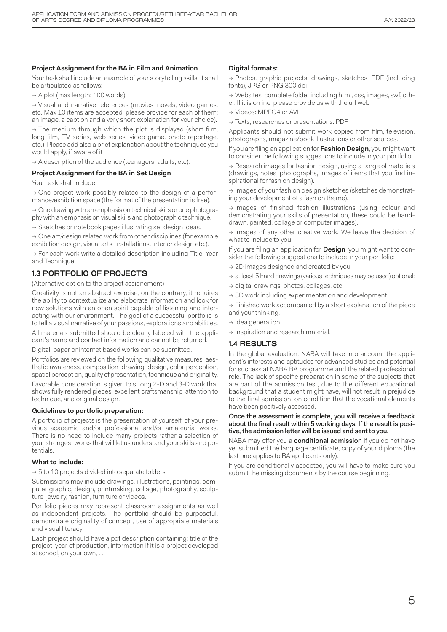#### **Project Assignment for the BA in Film and Animation**

Your task shall include an example of your storytelling skills. It shall be articulated as follows:

 $\rightarrow$  A plot (max length: 100 words).

→ Visual and narrative references (movies, novels, video games, etc. Max 10 items are accepted; please provide for each of them: an image, a caption and a very short explanation for your choice).

 $\rightarrow$  The medium through which the plot is displayed (short film, long film, TV series, web series, video game, photo reportage, etc.). Please add also a brief explanation about the techniques you would apply, if aware of it

 $\rightarrow$  A description of the audience (teenagers, adults, etc).

#### **Project Assignment for the BA in Set Design**

Your task shall include:

→ One project work possibly related to the design of a performance/exhibition space (the format of the presentation is free).

 $\rightarrow$  One drawing with an emphasis on technical skills or one photography with an emphasis on visual skills and photographic technique.

→ Sketches or notebook pages illustrating set design ideas.

 $\rightarrow$  One art/design related work from other disciplines (for example exhibition design, visual arts, installations, interior design etc.).

 $\rightarrow$  For each work write a detailed description including Title, Year and Technique.

#### **1.3 PORTFOLIO OF PROJECTS**

(Alternative option to the project assignement)

Creativity is not an abstract exercise, on the contrary, it requires the ability to contextualize and elaborate information and look for new solutions with an open spirit capable of listening and interacting with our environment. The goal of a successful portfolio is to tell a visual narrative of your passions, explorations and abilities.

All materials submitted should be clearly labeled with the applicant's name and contact information and cannot be returned.

Digital, paper or internet based works can be submitted.

Portfolios are reviewed on the following qualitative measures: aesthetic awareness, composition, drawing, design, color perception, spatial perception, quality of presentation, technique and originality.

Favorable consideration is given to strong 2-D and 3-D work that shows fully rendered pieces, excellent craftsmanship, attention to technique, and original design.

#### **Guidelines to portfolio preparation:**

A portfolio of projects is the presentation of yourself, of your previous academic and/or professional and/or amateurial works. There is no need to include many projects rather a selection of your strongest works that will let us understand your skills and potentials.

#### **What to include:**

 $\rightarrow$  5 to 10 projects divided into separate folders.

Submissions may include drawings, illustrations, paintings, computer graphic, design, printmaking, collage, photography, sculpture, jewelry, fashion, furniture or videos.

Portfolio pieces may represent classroom assignments as well as independent projects. The portfolio should be purposeful, demonstrate originality of concept, use of appropriate materials and visual literacy.

Each project should have a pdf description containing: title of the project, year of production, information if it is a project developed at school, on your own, ...

#### **Digital formats:**

→ Photos, graphic projects, drawings, sketches: PDF (including fonts), JPG or PNG 300 dpi

→ Websites: complete folder including html, css, images, swf, other. If it is online: please provide us with the url web

→ Videos: MPEG4 or AVI

→ Texts, researches or presentations: PDF

Applicants should not submit work copied from film, television, photographs, magazine/book illustrations or other sources.

If you are filing an application for **Fashion Design**, you might want to consider the following suggestions to include in your portfolio:

 $\rightarrow$  Research images for fashion design, using a range of materials (drawings, notes, photographs, images of items that you find inspirational for fashion design).

→ Images of your fashion design sketches (sketches demonstrating your development of a fashion theme).

 $\rightarrow$  Images of finished fashion illustrations (using colour and demonstrating your skills of presentation, these could be handdrawn, painted, collage or computer images).

→ Images of any other creative work. We leave the decision of what to include to you.

If you are filing an application for **Design**, you might want to consider the following suggestions to include in your portfolio:

- $\rightarrow$  2D images designed and created by you:
- $\rightarrow$  at least 5 hand drawings (various techniques may be used) optional:
- $\rightarrow$  digital drawings, photos, collages, etc.
- $\rightarrow$  3D work including experimentation and development.

 $\rightarrow$  Finished work accompanied by a short explanation of the piece and your thinking.

- $\rightarrow$  Idea generation.
- → Inspiration and research material.

#### **1.4 RESULTS**

In the global evaluation, NABA will take into account the applicant's interests and aptitudes for advanced studies and potential for success at NABA BA programme and the related professional role. The lack of specific preparation in some of the subjects that are part of the admission test, due to the different educational background that a student might have, will not result in prejudice to the final admission, on condition that the vocational elements have been positively assessed.

Once the assessment is complete, you will receive a feedback about the final result within 5 working days. If the result is positive, the admission letter will be issued and sent to you.

NABA may offer you a **conditional admission** if you do not have yet submitted the language certificate, copy of your diploma (the last one applies to BA applicants only).

If you are conditionally accepted, you will have to make sure you submit the missing documents by the course beginning.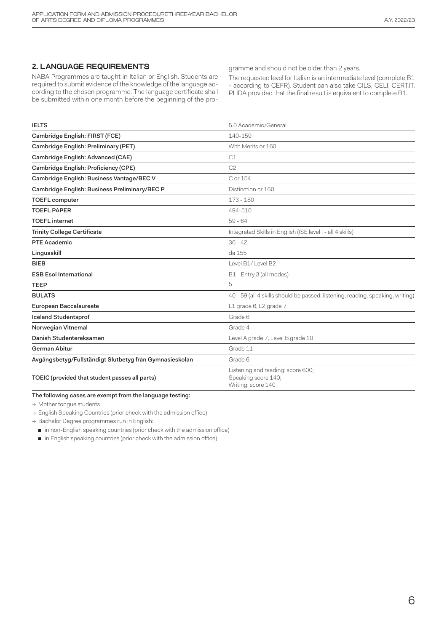#### **2. LANGUAGE REQUIREMENTS**

NABA Programmes are taught in Italian or English. Students are required to submit evidence of the knowledge of the language according to the chosen programme. The language certificate shall be submitted within one month before the beginning of the programme and should not be older than 2 years.

The requested level for Italian is an intermediate level (complete B1 - according to CEFR). Student can also take CILS, CELI, CERT.IT, PLIDA provided that the final result is equivalent to complete B1.

| <b>IELTS</b>                                            | 5.0 Academic/General                                                           |  |
|---------------------------------------------------------|--------------------------------------------------------------------------------|--|
| Cambridge English: FIRST (FCE)                          | 140-159                                                                        |  |
| Cambridge English: Preliminary (PET)                    | With Merits or 160                                                             |  |
| Cambridge English: Advanced (CAE)                       | C <sub>1</sub>                                                                 |  |
| Cambridge English: Proficiency (CPE)                    | C <sub>2</sub>                                                                 |  |
| Cambridge English: Business Vantage/BEC V               | C or 154                                                                       |  |
| Cambridge English: Business Preliminary/BEC P           | Distinction or 160                                                             |  |
| <b>TOEFL computer</b>                                   | 173 - 180                                                                      |  |
| <b>TOEFL PAPER</b>                                      | 494-510                                                                        |  |
| <b>TOEFL</b> internet                                   | $59 - 64$                                                                      |  |
| <b>Trinity College Certificate</b>                      | Integrated Skills in English (ISE level I - all 4 skills)                      |  |
| <b>PTE Academic</b>                                     | $36 - 42$                                                                      |  |
| Linguaskill                                             | da 155                                                                         |  |
| <b>BIEB</b>                                             | Level B1/Level B2                                                              |  |
| <b>ESB Esol International</b>                           | B1 - Entry 3 (all modes)                                                       |  |
| <b>TEEP</b>                                             | 5                                                                              |  |
| <b>BULATS</b>                                           | 40 - 59 (all 4 skills should be passed: listening, reading, speaking, writing) |  |
| European Baccalaureate                                  | L1 grade 6, L2 grade 7                                                         |  |
| <b>Iceland Studentsprof</b>                             | Grade 6                                                                        |  |
| Norwegian Vitnemal                                      | Grade 4                                                                        |  |
| Danish Studentereksamen                                 | Level A grade 7, Level B grade 10                                              |  |
| <b>German Abitur</b>                                    | Grade 11                                                                       |  |
| Avgångsbetyg/Fullständigt Slutbetyg från Gymnasieskolan | Grade 6                                                                        |  |
| TOEIC (provided that student passes all parts)          | Listening and reading: score 600;<br>Speaking score 140;<br>Writing: score 140 |  |

#### The following cases are exempt from the language testing:

→ Mother tongue students

 $\rightarrow$  English Speaking Countries (prior check with the admission office)

 $\rightarrow$  Bachelor Degree programmes run in English:

■ in non-English speaking countries (prior check with the admission office)

■ in English speaking countries (prior check with the admission office)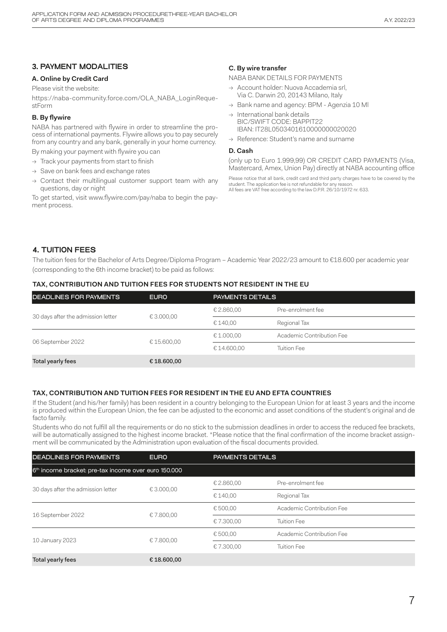#### **3. PAYMENT MODALITIES**

#### **A. Online by Credit Card**

Please visit the website:

https://naba-community.force.com/OLA\_NABA\_LoginRequestForm

#### **B. By flywire**

NABA has partnered with flywire in order to streamline the process of international payments. Flywire allows you to pay securely from any country and any bank, generally in your home currency.

By making your payment with flywire you can

- $\rightarrow$  Track your payments from start to finish
- → Save on bank fees and exchange rates
- $\rightarrow$  Contact their multilingual customer support team with any questions, day or night

To get started, visit www.flywire.com/pay/naba to begin the payment process.

#### **C. By wire transfer**

#### NABA BANK DETAILS FOR PAYMENTS

- → Account holder: Nuova Accademia srl, Via C. Darwin 20, 20143 Milano, Italy
- → Bank name and agency: BPM Agenzia 10 Ml
- $\rightarrow$  International bank details BIC/SWIFT CODE: BAPPIT22 IBAN: IT28L0503401610000000020020
- → Reference: Student's name and surname

#### **D. Cash**

(only up to Euro 1.999,99) OR CREDIT CARD PAYMENTS (Visa, Mastercard, Amex, Union Pay) directly at NABA accounting office

Please notice that all bank, credit card and third party charges have to be covered by the student. The application fee is not refundable for any reason. All fees are VAT free according to the law D.P.R. 26/10/1972 nr. 633.

#### **4. TUITION FEES**

The tuition fees for the Bachelor of Arts Degree/Diploma Program – Academic Year 2022/23 amount to €18.600 per academic year (corresponding to the 6th income bracket) to be paid as follows:

#### **TAX, CONTRIBUTION AND TUITION FEES FOR STUDENTS NOT RESIDENT IN THE EU**

| <b>DEADLINES FOR PAYMENTS</b>      | <b>EURO</b> | <b>PAYMENTS DETAILS</b> |                           |  |
|------------------------------------|-------------|-------------------------|---------------------------|--|
| 30 days after the admission letter | € 3.000,00  | € 2.860,00              | Pre-enrolment fee         |  |
|                                    |             | € 140.00                | Regional Tax              |  |
| 06 September 2022                  | €15.600,00  | € 1.000.00              | Academic Contribution Fee |  |
|                                    |             | €14.600,00              | <b>Tuition Fee</b>        |  |
| Total yearly fees                  | € 18.600,00 |                         |                           |  |

#### **TAX, CONTRIBUTION AND TUITION FEES FOR RESIDENT IN THE EU AND EFTA COUNTRIES**

If the Student (and his/her family) has been resident in a country belonging to the European Union for at least 3 years and the income is produced within the European Union, the fee can be adjusted to the economic and asset conditions of the student's original and de facto family.

Students who do not fulfill all the requirements or do no stick to the submission deadlines in order to access the reduced fee brackets, will be automatically assigned to the highest income bracket. \*Please notice that the final confirmation of the income bracket assignment will be communicated by the Administration upon evaluation of the fiscal documents provided.

| <b>DEADLINES FOR PAYMENTS</b>                                    | <b>EURO</b> |            | <b>PAYMENTS DETAILS</b>   |  |
|------------------------------------------------------------------|-------------|------------|---------------------------|--|
| 6 <sup>th</sup> income bracket: pre-tax income over euro 150.000 |             |            |                           |  |
| 30 days after the admission letter                               |             | € 2.860,00 | Pre-enrolment fee         |  |
|                                                                  | € 3.000.00  | € 140.00   | Regional Tax              |  |
| 16 September 2022                                                | €7.800.00   | € 500,00   | Academic Contribution Fee |  |
|                                                                  |             | €7.300,00  | <b>Tuition Fee</b>        |  |
| 10 January 2023                                                  |             | € 500.00   | Academic Contribution Fee |  |
|                                                                  | €7.800,00   | €7.300,00  | <b>Tuition Fee</b>        |  |
| <b>Total yearly fees</b>                                         | €18.600,00  |            |                           |  |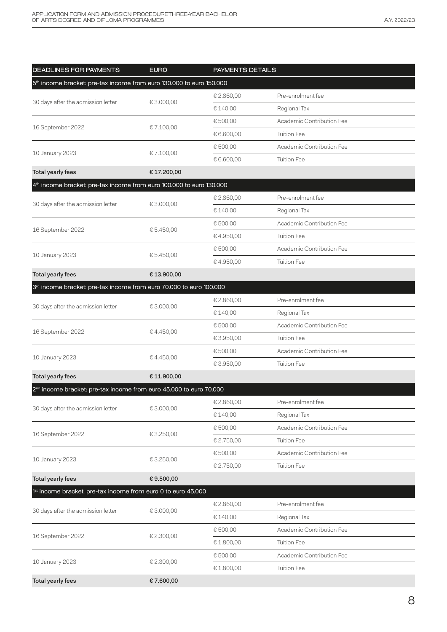| <b>DEADLINES FOR PAYMENTS</b>                                                    | <b>EURO</b> | PAYMENTS DETAILS |                           |  |  |
|----------------------------------------------------------------------------------|-------------|------------------|---------------------------|--|--|
| 5 <sup>th</sup> income bracket: pre-tax income from euro 130.000 to euro 150.000 |             |                  |                           |  |  |
| 30 days after the admission letter                                               |             | € 2.860,00       | Pre-enrolment fee         |  |  |
|                                                                                  | € 3.000,00  | € 140,00         | Regional Tax              |  |  |
| 16 September 2022                                                                |             | € 500,00         | Academic Contribution Fee |  |  |
|                                                                                  | €7.100,00   | € 6.600,00       | Tuition Fee               |  |  |
| 10 January 2023                                                                  |             | € 500,00         | Academic Contribution Fee |  |  |
|                                                                                  | €7.100,00   | € 6.600,00       | <b>Tuition Fee</b>        |  |  |
| <b>Total yearly fees</b>                                                         | € 17.200,00 |                  |                           |  |  |
| 4 <sup>th</sup> income bracket: pre-tax income from euro 100.000 to euro 130.000 |             |                  |                           |  |  |
| 30 days after the admission letter                                               | € 3.000,00  | € 2.860,00       | Pre-enrolment fee         |  |  |
|                                                                                  |             | € 140,00         | Regional Tax              |  |  |
| 16 September 2022                                                                | € 5.450,00  | € 500,00         | Academic Contribution Fee |  |  |
|                                                                                  |             | €4.950,00        | <b>Tuition Fee</b>        |  |  |
| 10 January 2023                                                                  | € 5.450,00  | € 500,00         | Academic Contribution Fee |  |  |
|                                                                                  |             | €4.950,00        | <b>Tuition Fee</b>        |  |  |
| <b>Total yearly fees</b>                                                         | €13.900,00  |                  |                           |  |  |
| 3rd income bracket: pre-tax income from euro 70.000 to euro 100.000              |             |                  |                           |  |  |
| 30 days after the admission letter                                               | € 3.000,00  | € 2.860,00       | Pre-enrolment fee         |  |  |
|                                                                                  |             | € 140,00         | Regional Tax              |  |  |
| 16 September 2022                                                                | €4.450,00   | € 500,00         | Academic Contribution Fee |  |  |
|                                                                                  |             | € 3.950,00       | Tuition Fee               |  |  |
| 10 January 2023                                                                  | €4.450,00   | € 500,00         | Academic Contribution Fee |  |  |
|                                                                                  |             | € 3.950,00       | <b>Tuition Fee</b>        |  |  |
| <b>Total yearly fees</b>                                                         | € 11.900,00 |                  |                           |  |  |
| 2 <sup>nd</sup> income bracket: pre-tax income from euro 45.000 to euro 70.000   |             |                  |                           |  |  |
| 30 days after the admission letter                                               | € 3.000,00  | € 2.860,00       | Pre-enrolment fee         |  |  |
|                                                                                  |             | € 140,00         | Regional Tax              |  |  |
| 16 September 2022                                                                | € 3.250,00  | €500,00          | Academic Contribution Fee |  |  |
|                                                                                  |             | € 2.750,00       | <b>Tuition Fee</b>        |  |  |
| 10 January 2023                                                                  | € 3.250,00  | € 500,00         | Academic Contribution Fee |  |  |
|                                                                                  |             | € 2.750,00       | <b>Tuition Fee</b>        |  |  |
| <b>Total yearly fees</b>                                                         | €9.500,00   |                  |                           |  |  |
| 1 <sup>st</sup> income bracket: pre-tax income from euro 0 to euro 45.000        |             |                  |                           |  |  |
| 30 days after the admission letter                                               | € 3.000,00  | € 2.860,00       | Pre-enrolment fee         |  |  |
|                                                                                  |             | € 140,00         | Regional Tax              |  |  |
| 16 September 2022                                                                | € 2.300,00  | € 500,00         | Academic Contribution Fee |  |  |
|                                                                                  |             | €1.800,00        | <b>Tuition Fee</b>        |  |  |
| 10 January 2023                                                                  | € 2.300,00  | € 500,00         | Academic Contribution Fee |  |  |
|                                                                                  |             | €1.800,00        | <b>Tuition Fee</b>        |  |  |
| <b>Total yearly fees</b>                                                         | €7.600,00   |                  |                           |  |  |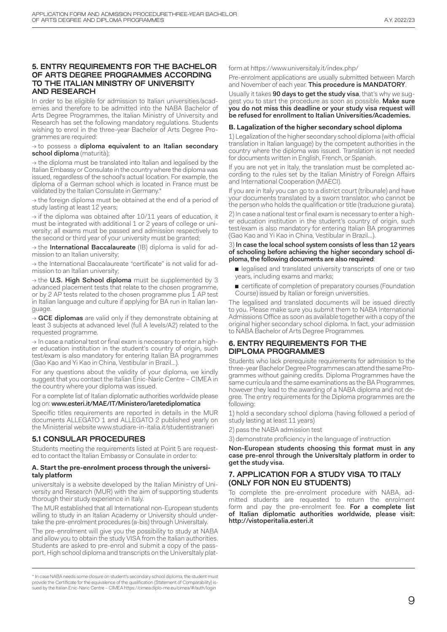#### **5. ENTRY REQUIREMENTS FOR THE BACHELOR OF ARTS DEGREE PROGRAMMES ACCORDING TO THE ITALIAN MINISTRY OF UNIVERSITY AND RESEARCH**

In order to be eligible for admission to Italian universities/academies and therefore to be admitted into the NABA Bachelor of Arts Degree Programmes, the Italian Ministry of University and Research has set the following mandatory regulations. Students wishing to enrol in the three-year Bachelor of Arts Degree Programmes are required:

#### $\rightarrow$  to possess a diploma equivalent to an Italian secondary school diploma (maturità);

 $\rightarrow$  the diploma must be translated into Italian and legalised by the Italian Embassy or Consulate in the country where the diploma was issued, regardless of the school's actual location. For example, the diploma of a German school which is located in France must be validated by the Italian Consulate in Germany.\*

→ the foreign diploma must be obtained at the end of a period of study lasting at least 12 years;

 $\rightarrow$  if the diploma was obtained after 10/11 years of education, it must be integrated with additional 1 or 2 years of college or university; all exams must be passed and admission respectively to the second or third year of your university must be granted;

 $\rightarrow$  the International Baccalaureate (IB) diploma is valid for admission to an Italian university;

 $\rightarrow$  the International Baccalaureate "certificate" is not valid for admission to an Italian university;

 $\rightarrow$  the U.S. High School diploma must be supplemented by 3 advanced placement tests that relate to the chosen programme, or by 2 AP tests related to the chosen programme plus 1 AP test in Italian language and culture if applying for BA run in Italian language.

 $\rightarrow$  GCE diplomas are valid only if they demonstrate obtaining at least 3 subjects at advanced level (full A levels/A2) related to the requested programme.

 $\rightarrow$  In case a national test or final exam is necessary to enter a higher education institution in the student's country of origin, such test/exam is also mandatory for entering Italian BA programmes (Gao Kao and Yi Kao in China, Vestibular in Brazil…).

For any questions about the validity of your diploma, we kindly suggest that you contact the Italian Enic-Naric Centre – CIMEA in the country where your diploma was issued.

For a complete list of Italian diplomatic authorities worldwide please log on: www.esteri.it/MAE/IT/Ministero/laretediplomatica

Specific titles requirements are reported in details in the MUR documents ALLEGATO 1 and ALLEGATO 2 published yearly on the Ministerial website www.studiare-in-italia.it/studentistranieri

#### **5.1 CONSULAR PROCEDURES**

Students meeting the requirements listed at Point 5 are requested to contact the Italian Embassy or Consulate in order to:

#### **A. Start the pre-enrolment process through the universitaly platform**

universItaly is a website developed by the Italian Ministry of University and Research (MUR) with the aim of supporting students thorough their study experience in Italy.

The MUR established that all International non-European students willing to study in an Italian Academy or University should undertake the pre-enrolment procedures (a-bis) through UniversItaly.

The pre-enrolment will give you the possibility to study at NABA and allow you to obtain the study VISA from the Italian authorities. Students are asked to pre-enrol and submit a copy of the passport, High school diploma and transcripts on the UniversItaly platform at https://www.universitaly.it/index.php/

Pre-enrolment applications are usually submitted between March and November of each year. This procedure is MANDATORY.

Usually it takes 90 days to get the study visa, that's why we suggest you to start the procedure as soon as possible. Make sure you do not miss this deadline or your study visa request will be refused for enrollment to Italian Universities/Academies.

#### **B. Lagalization of the higher secondary school diploma**

1) Legalization of the higher secondary school diploma (with official translation in Italian language) by the competent authorities in the country where the diploma was issued. Translation is not needed for documents written in English, French, or Spanish.

If you are not yet in Italy, the translation must be completed according to the rules set by the Italian Ministry of Foreign Affairs and International Cooperation (MAECI).

If you are in Italy you can go to a district court (tribunale) and have your documents translated by a sworn translator, who cannot be the person who holds the qualification or title (traduzione giurata).

2) In case a national test or final exam is necessary to enter a higher education institution in the student's country of origin, such test/exam is also mandatory for entering Italian BA programmes (Gao Kao and Yi Kao in China, Vestibular in Brazil…).

#### 3) In case the local school system consists of less than 12 years of schooling before achieving the higher secondary school diploma, the following documents are also required:

■ legalised and translated university transcripts of one or two years, including exams and marks;

■ certificate of completion of preparatory courses (Foundation Course) issued by Italian or foreign universities.

The legalised and translated documents will be issued directly to you. Please make sure you submit them to NABA International Admissions Office as soon as available together with a copy of the original higher secondary school diploma. In fact, your admission to NABA Bachelor of Arts Degree Programmes.

#### **6. ENTRY REQUIREMENTS FOR THE DIPLOMA PROGRAMMES**

Students who lack prerequisite requirements for admission to the three-year Bachelor Degree Programmes can attend the same Programmes without gaining credits. Diploma Programmes have the same curricula and the same examinations as the BA Programmes, however they lead to the awarding of a NABA diploma and not degree. The entry requirements for the Diploma programmes are the following:

1) hold a secondary school diploma (having followed a period of study lasting at least 11 years)

2) pass the NABA admission test

3) demonstrate proficiency in the language of instruction

Non-European students choosing this format must in any case pre-enrol through the UniversItaly platform in order to get the study visa.

#### **7. APPLICATION FOR A STUDY VISA TO ITALY (ONLY FOR NON EU STUDENTS)**

To complete the pre-enrolment procedure with NABA, admitted students are requested to return the enrolment form and pay the pre-enrolment fee. For a complete list of Italian diplomatic authorities worldwide, please visit: http://vistoperitalia.esteri.it

<sup>\*</sup> In case NABA needs some closure on student's secondary school diploma, the student must provide the Certificate for the equivalence of the qualification (Statement of Comparability) is-sued by the Italian Enic-Naric Centre – CIMEA https://cimea.diplo-me.eu/cimea/#/auth/login